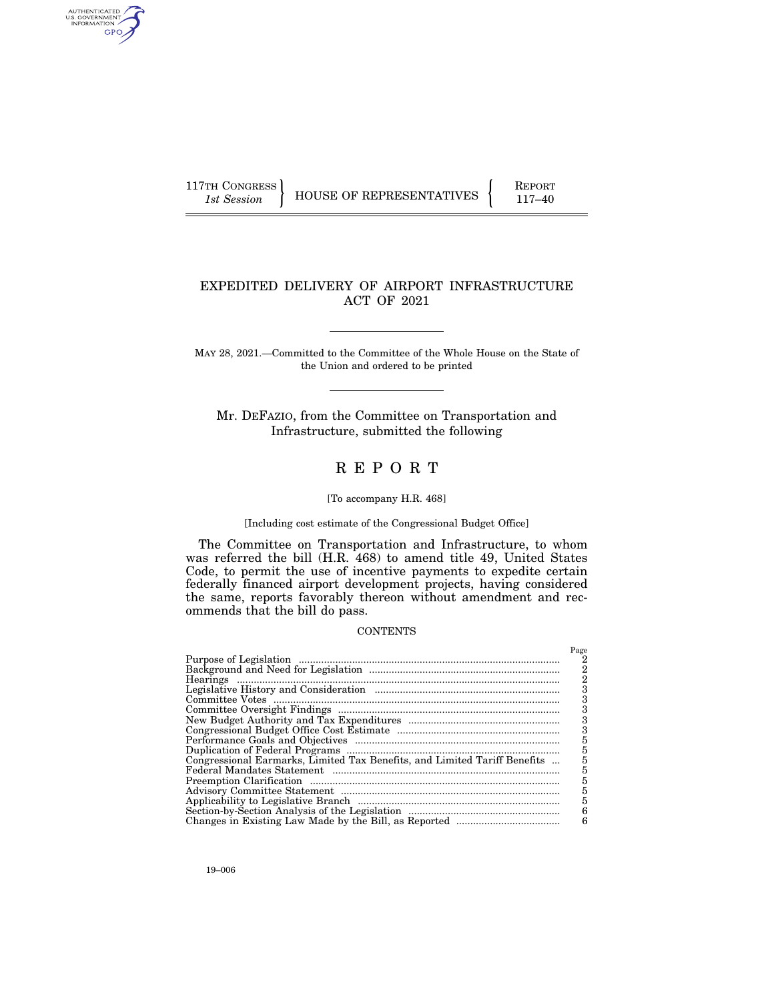AUTHENTICATED<br>U.S. GOVERNMENT<br>INFORMATION GPO

117TH CONGRESS HOUSE OF REPRESENTATIVES FEPORT 117-40

### EXPEDITED DELIVERY OF AIRPORT INFRASTRUCTURE ACT OF 2021

MAY 28, 2021.—Committed to the Committee of the Whole House on the State of the Union and ordered to be printed

Mr. DEFAZIO, from the Committee on Transportation and Infrastructure, submitted the following

# R E P O R T

#### [To accompany H.R. 468]

#### [Including cost estimate of the Congressional Budget Office]

The Committee on Transportation and Infrastructure, to whom was referred the bill (H.R. 468) to amend title 49, United States Code, to permit the use of incentive payments to expedite certain federally financed airport development projects, having considered the same, reports favorably thereon without amendment and recommends that the bill do pass.

#### **CONTENTS**

|                                                                           | Page |
|---------------------------------------------------------------------------|------|
|                                                                           |      |
|                                                                           | 2    |
|                                                                           |      |
|                                                                           |      |
|                                                                           | 3    |
|                                                                           | 3    |
|                                                                           | 3    |
|                                                                           |      |
|                                                                           |      |
|                                                                           |      |
| Congressional Earmarks, Limited Tax Benefits, and Limited Tariff Benefits |      |
|                                                                           |      |
|                                                                           | 5    |
|                                                                           | 5    |
|                                                                           | 5    |
|                                                                           | 6    |
|                                                                           | 6    |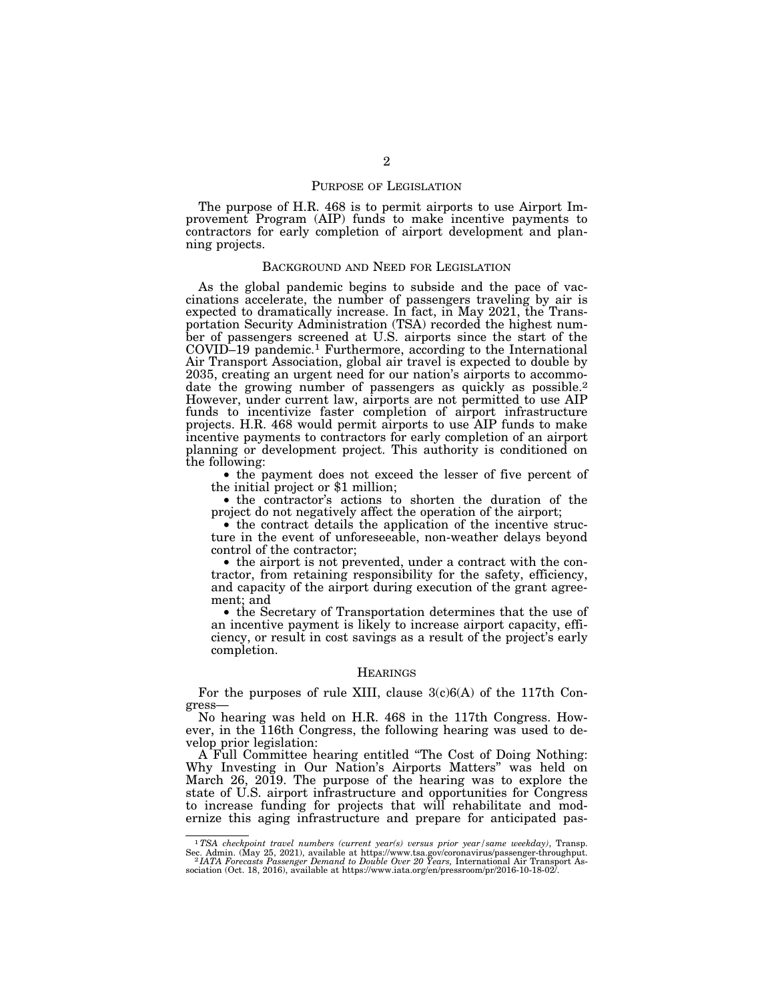#### PURPOSE OF LEGISLATION

The purpose of H.R. 468 is to permit airports to use Airport Improvement Program (AIP) funds to make incentive payments to contractors for early completion of airport development and planning projects.

#### BACKGROUND AND NEED FOR LEGISLATION

As the global pandemic begins to subside and the pace of vaccinations accelerate, the number of passengers traveling by air is expected to dramatically increase. In fact, in May 2021, the Transportation Security Administration (TSA) recorded the highest number of passengers screened at U.S. airports since the start of the COVID–19 pandemic.1 Furthermore, according to the International Air Transport Association, global air travel is expected to double by 2035, creating an urgent need for our nation's airports to accommodate the growing number of passengers as quickly as possible.<sup>2</sup> However, under current law, airports are not permitted to use AIP funds to incentivize faster completion of airport infrastructure projects. H.R. 468 would permit airports to use AIP funds to make incentive payments to contractors for early completion of an airport planning or development project. This authority is conditioned on the following:

• the payment does not exceed the lesser of five percent of the initial project or \$1 million;

• the contractor's actions to shorten the duration of the project do not negatively affect the operation of the airport;

• the contract details the application of the incentive structure in the event of unforeseeable, non-weather delays beyond control of the contractor;

• the airport is not prevented, under a contract with the contractor, from retaining responsibility for the safety, efficiency, and capacity of the airport during execution of the grant agreement; and

• the Secretary of Transportation determines that the use of an incentive payment is likely to increase airport capacity, efficiency, or result in cost savings as a result of the project's early completion.

#### **HEARINGS**

For the purposes of rule XIII, clause 3(c)6(A) of the 117th Congress—

No hearing was held on H.R. 468 in the 117th Congress. However, in the 116th Congress, the following hearing was used to develop prior legislation:

A Full Committee hearing entitled ''The Cost of Doing Nothing: Why Investing in Our Nation's Airports Matters'' was held on March 26, 2019. The purpose of the hearing was to explore the state of U.S. airport infrastructure and opportunities for Congress to increase funding for projects that will rehabilitate and modernize this aging infrastructure and prepare for anticipated pas-

<sup>1</sup>*TSA checkpoint travel numbers (current year(s) versus prior year/same weekday)*, Transp. Sec. Admin. (May 25, 2021), available at https://www.tsa.gov/coronavirus/passenger-throughput.<br>21 IATA Forecasts Passenger Demand to Double Over 20 Years, International Air Transport Association (Oct. 18, 2016), available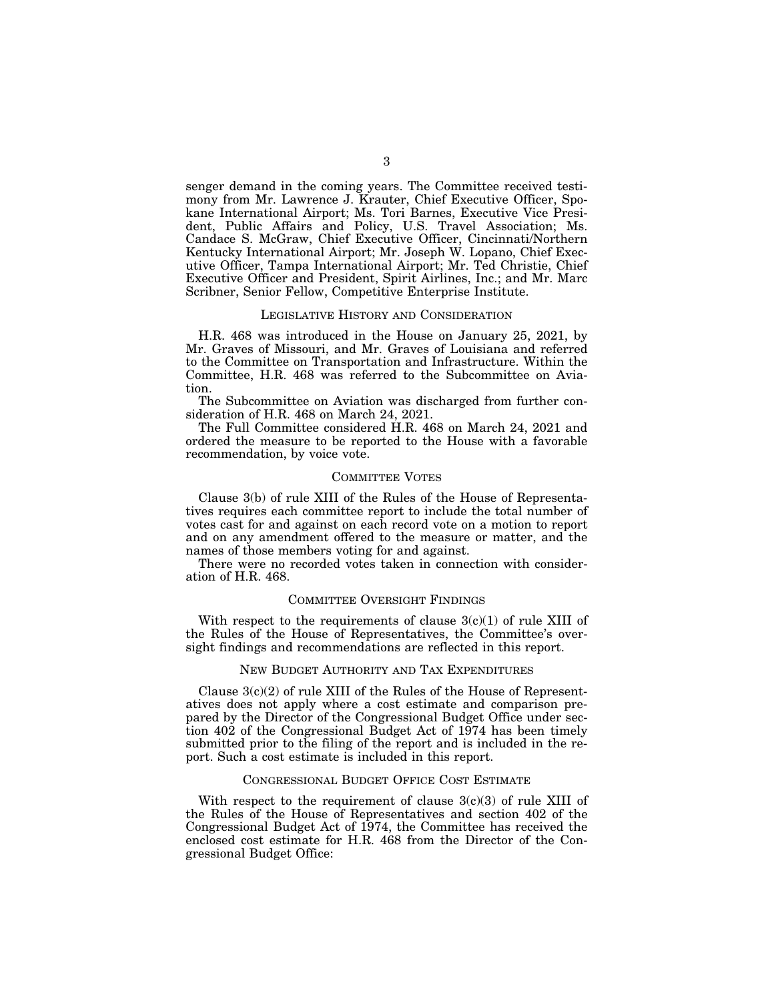senger demand in the coming years. The Committee received testimony from Mr. Lawrence J. Krauter, Chief Executive Officer, Spokane International Airport; Ms. Tori Barnes, Executive Vice President, Public Affairs and Policy, U.S. Travel Association; Ms. Candace S. McGraw, Chief Executive Officer, Cincinnati/Northern Kentucky International Airport; Mr. Joseph W. Lopano, Chief Executive Officer, Tampa International Airport; Mr. Ted Christie, Chief Executive Officer and President, Spirit Airlines, Inc.; and Mr. Marc Scribner, Senior Fellow, Competitive Enterprise Institute.

#### LEGISLATIVE HISTORY AND CONSIDERATION

H.R. 468 was introduced in the House on January 25, 2021, by Mr. Graves of Missouri, and Mr. Graves of Louisiana and referred to the Committee on Transportation and Infrastructure. Within the Committee, H.R. 468 was referred to the Subcommittee on Aviation.

The Subcommittee on Aviation was discharged from further consideration of H.R. 468 on March 24, 2021.

The Full Committee considered H.R. 468 on March 24, 2021 and ordered the measure to be reported to the House with a favorable recommendation, by voice vote.

#### COMMITTEE VOTES

Clause 3(b) of rule XIII of the Rules of the House of Representatives requires each committee report to include the total number of votes cast for and against on each record vote on a motion to report and on any amendment offered to the measure or matter, and the names of those members voting for and against.

There were no recorded votes taken in connection with consideration of H.R. 468.

#### COMMITTEE OVERSIGHT FINDINGS

With respect to the requirements of clause  $3(c)(1)$  of rule XIII of the Rules of the House of Representatives, the Committee's oversight findings and recommendations are reflected in this report.

#### NEW BUDGET AUTHORITY AND TAX EXPENDITURES

Clause  $3(c)(2)$  of rule XIII of the Rules of the House of Representatives does not apply where a cost estimate and comparison prepared by the Director of the Congressional Budget Office under section 402 of the Congressional Budget Act of 1974 has been timely submitted prior to the filing of the report and is included in the report. Such a cost estimate is included in this report.

#### CONGRESSIONAL BUDGET OFFICE COST ESTIMATE

With respect to the requirement of clause  $3(c)(3)$  of rule XIII of the Rules of the House of Representatives and section 402 of the Congressional Budget Act of 1974, the Committee has received the enclosed cost estimate for H.R. 468 from the Director of the Congressional Budget Office: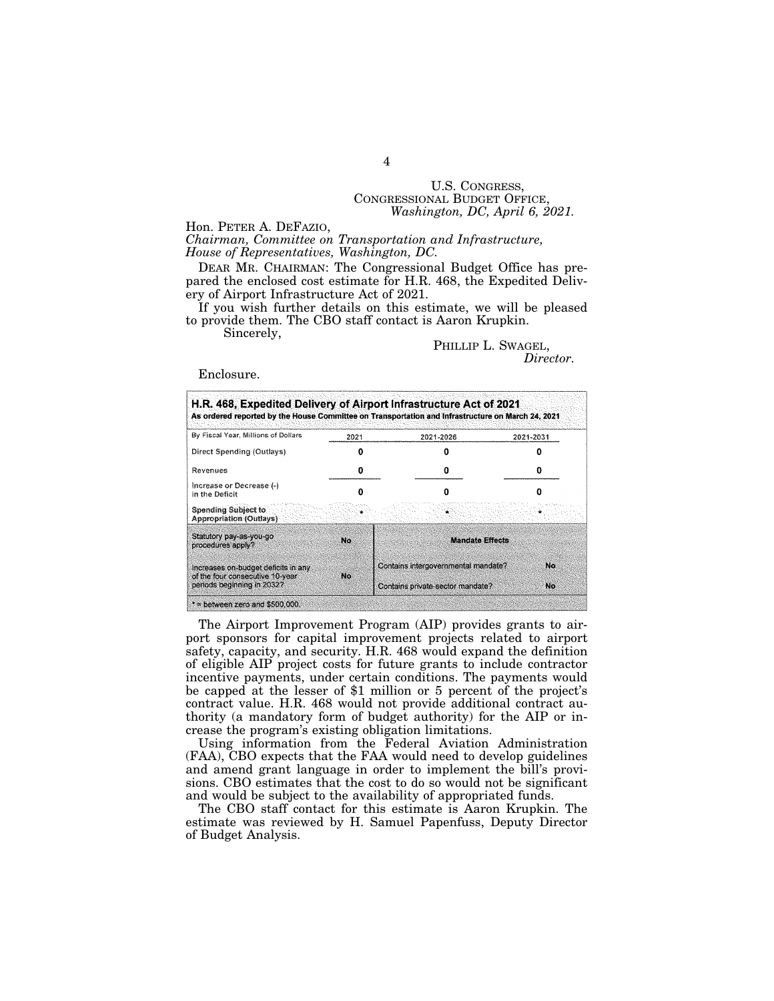# U.S. CONGRESS, CONGRESSIONAL BUDGET OFFICE, *Washington, DC, April 6, 2021.*

Hon. PETER A. DEFAZIO,

*Chairman, Committee on Transportation and Infrastructure, House of Representatives, Washington, DC.* 

DEAR MR. CHAIRMAN: The Congressional Budget Office has prepared the enclosed cost estimate for H.R. 468, the Expedited Delivery of Airport Infrastructure Act of 2021.

If you wish further details on this estimate, we will be pleased to provide them. The CBO staff contact is Aaron Krupkin.

Sincerely,

#### PHILLIP L. SWAGEL, *Director.*

#### Enclosure.

| By Fiscal Year, Millions of Dollars                                                                  | 2021         | 2021-2026                                                               | 2021-2031 |
|------------------------------------------------------------------------------------------------------|--------------|-------------------------------------------------------------------------|-----------|
| Direct Spending (Outlays)                                                                            |              |                                                                         |           |
| Revenues                                                                                             |              |                                                                         |           |
| Increase or Decrease (-)<br>in the Deficit                                                           |              |                                                                         |           |
| <b>Spending Subject to</b><br><b>Appropriation (Outlays)</b>                                         |              |                                                                         |           |
| Statutory pay-as-you-go<br>procedures apply?                                                         | $M_{\odot}$  | <b>Mandate Effects</b>                                                  |           |
| Increases on-budget deficits in any<br>of the four consecutive 10-year<br>periods beginning in 2032? | $H_{\rm CO}$ | Contains intergovernmental mandate?<br>Contains private-sector mandate? | No.<br>No |

The Airport Improvement Program (AIP) provides grants to airport sponsors for capital improvement projects related to airport safety, capacity, and security. H.R. 468 would expand the definition of eligible AIP project costs for future grants to include contractor incentive payments, under certain conditions. The payments would be capped at the lesser of \$1 million or 5 percent of the project's contract value. H.R. 468 would not provide additional contract authority (a mandatory form of budget authority) for the AIP or increase the program's existing obligation limitations.

Using information from the Federal Aviation Administration (FAA), CBO expects that the FAA would need to develop guidelines and amend grant language in order to implement the bill's provisions. CBO estimates that the cost to do so would not be significant and would be subject to the availability of appropriated funds.

The CBO staff contact for this estimate is Aaron Krupkin. The estimate was reviewed by H. Samuel Papenfuss, Deputy Director of Budget Analysis.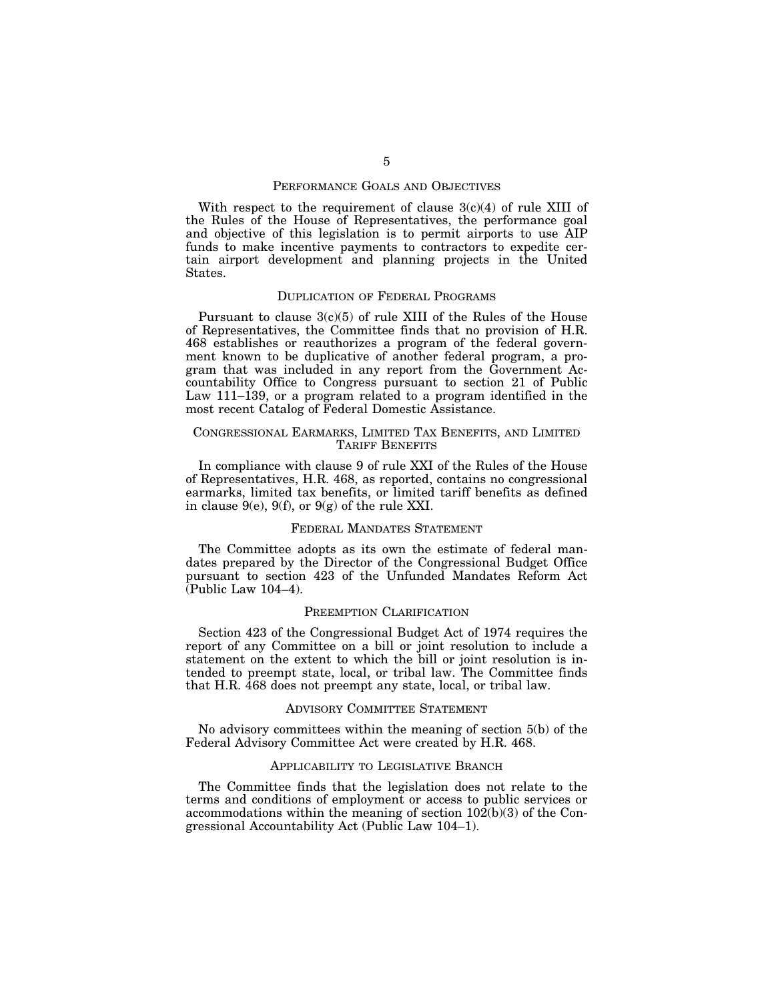#### PERFORMANCE GOALS AND OBJECTIVES

With respect to the requirement of clause  $3(c)(4)$  of rule XIII of the Rules of the House of Representatives, the performance goal and objective of this legislation is to permit airports to use AIP funds to make incentive payments to contractors to expedite certain airport development and planning projects in the United States.

#### DUPLICATION OF FEDERAL PROGRAMS

Pursuant to clause  $3(c)(5)$  of rule XIII of the Rules of the House of Representatives, the Committee finds that no provision of H.R. 468 establishes or reauthorizes a program of the federal government known to be duplicative of another federal program, a program that was included in any report from the Government Accountability Office to Congress pursuant to section 21 of Public Law 111–139, or a program related to a program identified in the most recent Catalog of Federal Domestic Assistance.

#### CONGRESSIONAL EARMARKS, LIMITED TAX BENEFITS, AND LIMITED TARIFF BENEFITS

In compliance with clause 9 of rule XXI of the Rules of the House of Representatives, H.R. 468, as reported, contains no congressional earmarks, limited tax benefits, or limited tariff benefits as defined in clause  $9(e)$ ,  $9(f)$ , or  $9(g)$  of the rule XXI.

#### FEDERAL MANDATES STATEMENT

The Committee adopts as its own the estimate of federal mandates prepared by the Director of the Congressional Budget Office pursuant to section 423 of the Unfunded Mandates Reform Act (Public Law 104–4).

#### PREEMPTION CLARIFICATION

Section 423 of the Congressional Budget Act of 1974 requires the report of any Committee on a bill or joint resolution to include a statement on the extent to which the bill or joint resolution is intended to preempt state, local, or tribal law. The Committee finds that H.R. 468 does not preempt any state, local, or tribal law.

#### ADVISORY COMMITTEE STATEMENT

No advisory committees within the meaning of section 5(b) of the Federal Advisory Committee Act were created by H.R. 468.

#### APPLICABILITY TO LEGISLATIVE BRANCH

The Committee finds that the legislation does not relate to the terms and conditions of employment or access to public services or accommodations within the meaning of section  $10\overline{2}(b)(3)$  of the Congressional Accountability Act (Public Law 104–1).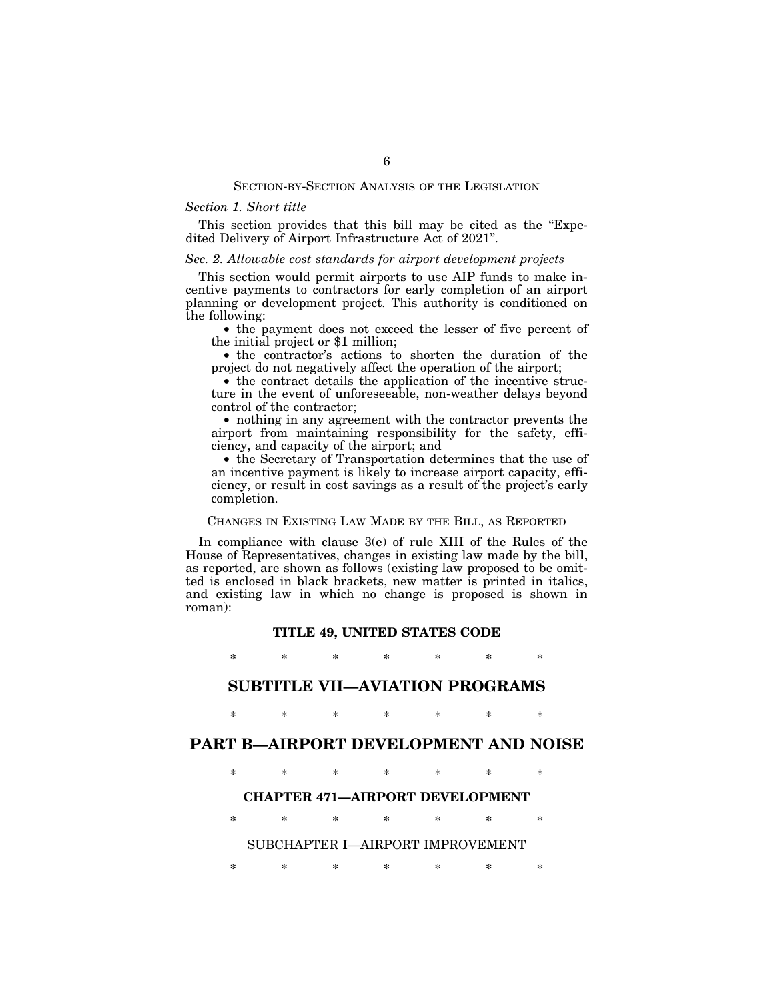#### SECTION-BY-SECTION ANALYSIS OF THE LEGISLATION

#### *Section 1. Short title*

This section provides that this bill may be cited as the "Expedited Delivery of Airport Infrastructure Act of 2021''.

#### *Sec. 2. Allowable cost standards for airport development projects*

This section would permit airports to use AIP funds to make incentive payments to contractors for early completion of an airport planning or development project. This authority is conditioned on the following:

• the payment does not exceed the lesser of five percent of the initial project or \$1 million;

• the contractor's actions to shorten the duration of the project do not negatively affect the operation of the airport;

• the contract details the application of the incentive structure in the event of unforeseeable, non-weather delays beyond control of the contractor;

• nothing in any agreement with the contractor prevents the airport from maintaining responsibility for the safety, efficiency, and capacity of the airport; and

• the Secretary of Transportation determines that the use of an incentive payment is likely to increase airport capacity, efficiency, or result in cost savings as a result of the project's early completion.

#### CHANGES IN EXISTING LAW MADE BY THE BILL, AS REPORTED

In compliance with clause 3(e) of rule XIII of the Rules of the House of Representatives, changes in existing law made by the bill, as reported, are shown as follows (existing law proposed to be omitted is enclosed in black brackets, new matter is printed in italics, and existing law in which no change is proposed is shown in roman):

#### **TITLE 49, UNITED STATES CODE**

\* \* \* \* \* \* \*

# **SUBTITLE VII—AVIATION PROGRAMS**

\* \* \* \* \* \* \*

# **PART B—AIRPORT DEVELOPMENT AND NOISE**

\* \* \* \* \* \* \*

#### **CHAPTER 471—AIRPORT DEVELOPMENT**

\* \* \* \* \* \* \*

#### SUBCHAPTER I—AIRPORT IMPROVEMENT

\* \* \* \* \* \* \*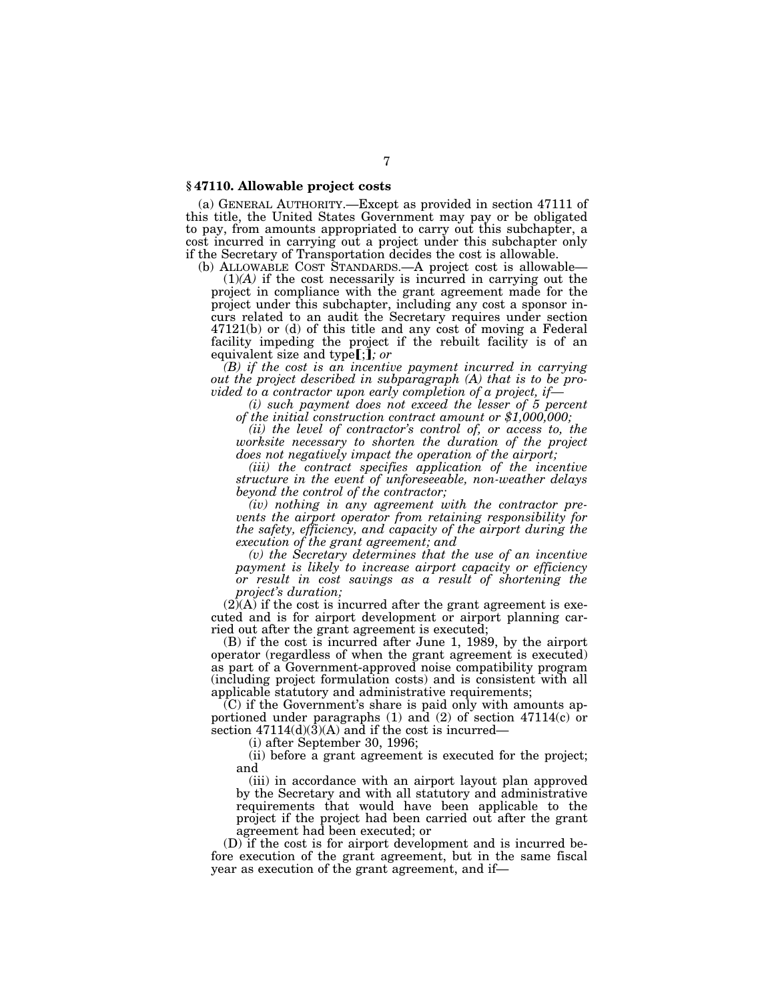#### **§ 47110. Allowable project costs**

(a) GENERAL AUTHORITY.—Except as provided in section 47111 of this title, the United States Government may pay or be obligated to pay, from amounts appropriated to carry out this subchapter, a cost incurred in carrying out a project under this subchapter only if the Secretary of Transportation decides the cost is allowable.

(b) ALLOWABLE COST STANDARDS.—A project cost is allowable—

(1)*(A)* if the cost necessarily is incurred in carrying out the project in compliance with the grant agreement made for the project under this subchapter, including any cost a sponsor incurs related to an audit the Secretary requires under section 47121(b) or (d) of this title and any cost of moving a Federal facility impeding the project if the rebuilt facility is of an equivalent size and type[;]; or

*(B) if the cost is an incentive payment incurred in carrying out the project described in subparagraph (A) that is to be provided to a contractor upon early completion of a project, if—* 

*of the initial construction contract amount or \$1,000,000;* 

*(ii) the level of contractor's control of, or access to, the worksite necessary to shorten the duration of the project does not negatively impact the operation of the airport;* 

*(iii) the contract specifies application of the incentive structure in the event of unforeseeable, non-weather delays beyond the control of the contractor;* 

*(iv) nothing in any agreement with the contractor prevents the airport operator from retaining responsibility for the safety, efficiency, and capacity of the airport during the execution of the grant agreement; and* 

*(v) the Secretary determines that the use of an incentive payment is likely to increase airport capacity or efficiency or result in cost savings as a result of shortening the project's duration;* 

 $(2)(A)$  if the cost is incurred after the grant agreement is executed and is for airport development or airport planning carried out after the grant agreement is executed;

(B) if the cost is incurred after June 1, 1989, by the airport operator (regardless of when the grant agreement is executed) as part of a Government-approved noise compatibility program (including project formulation costs) and is consistent with all applicable statutory and administrative requirements;

 $(C)$  if the Government's share is paid only with amounts apportioned under paragraphs  $(1)$  and  $(2)$  of section 47114 $(c)$  or section  $47114(d)(3)(A)$  and if the cost is incurred–

(i) after September 30, 1996;

(ii) before a grant agreement is executed for the project; and

(iii) in accordance with an airport layout plan approved by the Secretary and with all statutory and administrative requirements that would have been applicable to the project if the project had been carried out after the grant agreement had been executed; or

(D) if the cost is for airport development and is incurred before execution of the grant agreement, but in the same fiscal year as execution of the grant agreement, and if—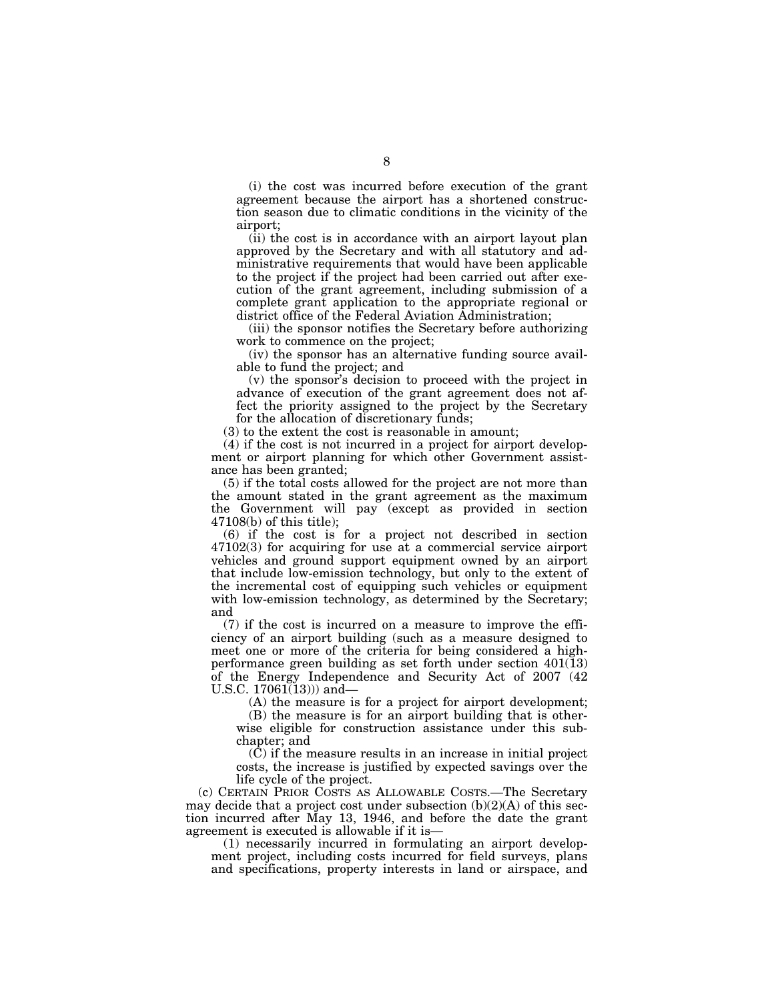(i) the cost was incurred before execution of the grant agreement because the airport has a shortened construction season due to climatic conditions in the vicinity of the airport;

(ii) the cost is in accordance with an airport layout plan approved by the Secretary and with all statutory and administrative requirements that would have been applicable to the project if the project had been carried out after execution of the grant agreement, including submission of a complete grant application to the appropriate regional or district office of the Federal Aviation Administration;

(iii) the sponsor notifies the Secretary before authorizing work to commence on the project;

(iv) the sponsor has an alternative funding source available to fund the project; and

(v) the sponsor's decision to proceed with the project in advance of execution of the grant agreement does not affect the priority assigned to the project by the Secretary for the allocation of discretionary funds;

(3) to the extent the cost is reasonable in amount;

(4) if the cost is not incurred in a project for airport development or airport planning for which other Government assistance has been granted;

(5) if the total costs allowed for the project are not more than the amount stated in the grant agreement as the maximum the Government will pay (except as provided in section 47108(b) of this title);

(6) if the cost is for a project not described in section 47102(3) for acquiring for use at a commercial service airport vehicles and ground support equipment owned by an airport that include low-emission technology, but only to the extent of the incremental cost of equipping such vehicles or equipment with low-emission technology, as determined by the Secretary; and

(7) if the cost is incurred on a measure to improve the efficiency of an airport building (such as a measure designed to meet one or more of the criteria for being considered a highperformance green building as set forth under section  $401(13)$ of the Energy Independence and Security Act of 2007 (42 U.S.C.  $17061(13)$ ) and

(A) the measure is for a project for airport development;

(B) the measure is for an airport building that is otherwise eligible for construction assistance under this subchapter; and

(C) if the measure results in an increase in initial project costs, the increase is justified by expected savings over the life cycle of the project.

(c) CERTAIN PRIOR COSTS AS ALLOWABLE COSTS.—The Secretary may decide that a project cost under subsection (b)(2)(A) of this section incurred after May 13, 1946, and before the date the grant agreement is executed is allowable if it is—

(1) necessarily incurred in formulating an airport development project, including costs incurred for field surveys, plans and specifications, property interests in land or airspace, and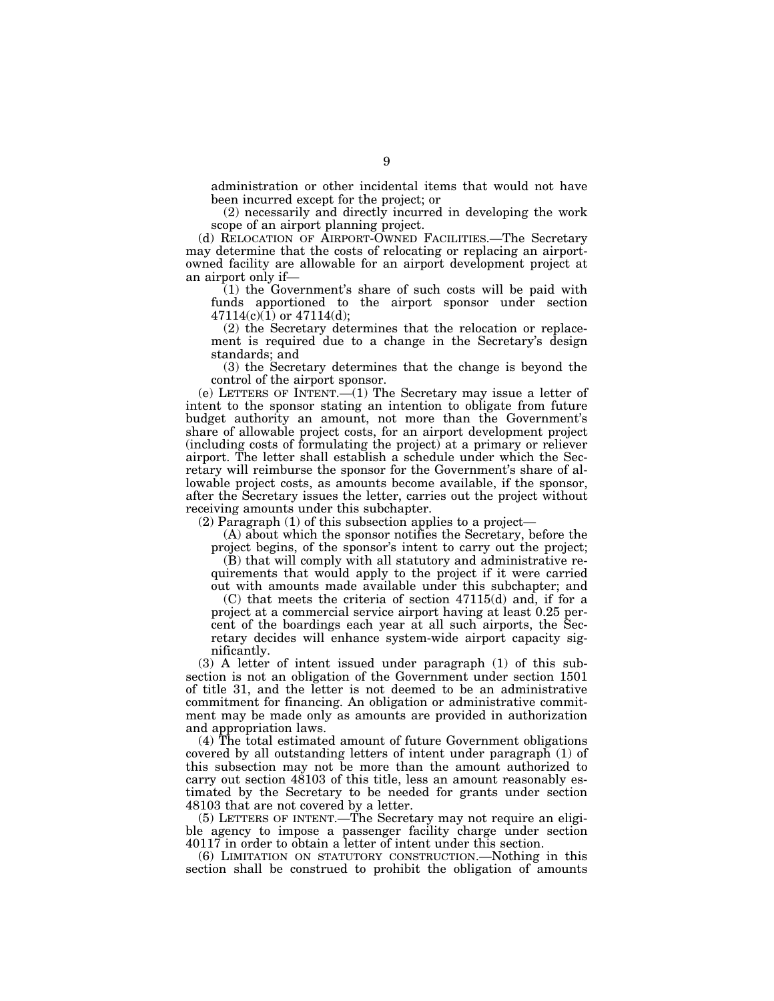administration or other incidental items that would not have been incurred except for the project; or

(2) necessarily and directly incurred in developing the work scope of an airport planning project.

(d) RELOCATION OF AIRPORT-OWNED FACILITIES.—The Secretary may determine that the costs of relocating or replacing an airportowned facility are allowable for an airport development project at an airport only if—

(1) the Government's share of such costs will be paid with funds apportioned to the airport sponsor under section  $47114(c)(1)$  or  $47114(d)$ ;

(2) the Secretary determines that the relocation or replacement is required due to a change in the Secretary's design standards; and

(3) the Secretary determines that the change is beyond the control of the airport sponsor.

(e) LETTERS OF INTENT.—(1) The Secretary may issue a letter of intent to the sponsor stating an intention to obligate from future budget authority an amount, not more than the Government's share of allowable project costs, for an airport development project (including costs of formulating the project) at a primary or reliever airport. The letter shall establish a schedule under which the Secretary will reimburse the sponsor for the Government's share of allowable project costs, as amounts become available, if the sponsor, after the Secretary issues the letter, carries out the project without receiving amounts under this subchapter.

(2) Paragraph (1) of this subsection applies to a project—

(A) about which the sponsor notifies the Secretary, before the project begins, of the sponsor's intent to carry out the project;

(B) that will comply with all statutory and administrative requirements that would apply to the project if it were carried out with amounts made available under this subchapter; and

(C) that meets the criteria of section 47115(d) and, if for a project at a commercial service airport having at least 0.25 percent of the boardings each year at all such airports, the Secretary decides will enhance system-wide airport capacity significantly.

(3) A letter of intent issued under paragraph (1) of this subsection is not an obligation of the Government under section 1501 of title 31, and the letter is not deemed to be an administrative commitment for financing. An obligation or administrative commitment may be made only as amounts are provided in authorization and appropriation laws.

(4) The total estimated amount of future Government obligations covered by all outstanding letters of intent under paragraph (1) of this subsection may not be more than the amount authorized to carry out section 48103 of this title, less an amount reasonably estimated by the Secretary to be needed for grants under section 48103 that are not covered by a letter.

(5) LETTERS OF INTENT.—The Secretary may not require an eligible agency to impose a passenger facility charge under section 40117 in order to obtain a letter of intent under this section.

(6) LIMITATION ON STATUTORY CONSTRUCTION.—Nothing in this section shall be construed to prohibit the obligation of amounts